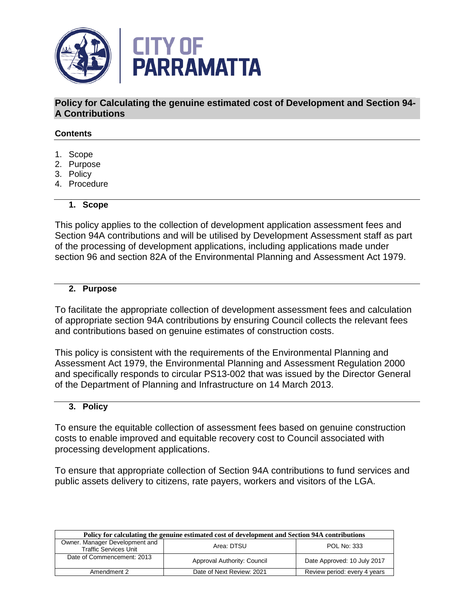

**Policy for Calculating the genuine estimated cost of Development and Section 94- A Contributions** 

## **Contents**

- 1. Scope
- 2. Purpose
- 3. Policy
- 4. Procedure

#### **1. Scope**

This policy applies to the collection of development application assessment fees and Section 94A contributions and will be utilised by Development Assessment staff as part of the processing of development applications, including applications made under section 96 and section 82A of the Environmental Planning and Assessment Act 1979.

### **2. Purpose**

To facilitate the appropriate collection of development assessment fees and calculation of appropriate section 94A contributions by ensuring Council collects the relevant fees and contributions based on genuine estimates of construction costs.

This policy is consistent with the requirements of the Environmental Planning and Assessment Act 1979, the Environmental Planning and Assessment Regulation 2000 and specifically responds to circular PS13-002 that was issued by the Director General of the Department of Planning and Infrastructure on 14 March 2013.

## **3. Policy**

To ensure the equitable collection of assessment fees based on genuine construction costs to enable improved and equitable recovery cost to Council associated with processing development applications.

To ensure that appropriate collection of Section 94A contributions to fund services and public assets delivery to citizens, rate payers, workers and visitors of the LGA.

| Policy for calculating the genuine estimated cost of development and Section 94A contributions |                             |                              |  |
|------------------------------------------------------------------------------------------------|-----------------------------|------------------------------|--|
| Owner. Manager Development and<br><b>Traffic Services Unit</b>                                 | Area: DTSU                  | <b>POL No: 333</b>           |  |
| Date of Commencement: 2013                                                                     | Approval Authority: Council | Date Approved: 10 July 2017  |  |
| Amendment 2                                                                                    | Date of Next Review: 2021   | Review period: every 4 years |  |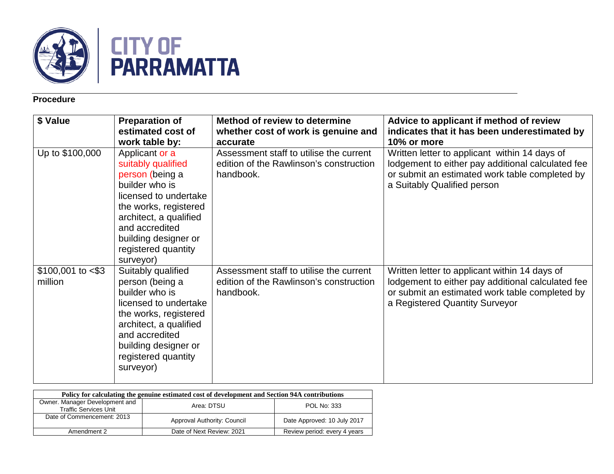

# **Procedure**

| \$ Value                        | <b>Preparation of</b><br>estimated cost of<br>work table by:                                                                                                                                                                        | Method of review to determine<br>whether cost of work is genuine and<br>accurate                | Advice to applicant if method of review<br>indicates that it has been underestimated by<br>10% or more                                                                                 |
|---------------------------------|-------------------------------------------------------------------------------------------------------------------------------------------------------------------------------------------------------------------------------------|-------------------------------------------------------------------------------------------------|----------------------------------------------------------------------------------------------------------------------------------------------------------------------------------------|
| Up to \$100,000                 | Applicant or a<br>suitably qualified<br>person (being a<br>builder who is<br>licensed to undertake<br>the works, registered<br>architect, a qualified<br>and accredited<br>building designer or<br>registered quantity<br>surveyor) | Assessment staff to utilise the current<br>edition of the Rawlinson's construction<br>handbook. | Written letter to applicant within 14 days of<br>lodgement to either pay additional calculated fee<br>or submit an estimated work table completed by<br>a Suitably Qualified person    |
| $$100,001$ to $< $3$<br>million | Suitably qualified<br>person (being a<br>builder who is<br>licensed to undertake<br>the works, registered<br>architect, a qualified<br>and accredited<br>building designer or<br>registered quantity<br>surveyor)                   | Assessment staff to utilise the current<br>edition of the Rawlinson's construction<br>handbook. | Written letter to applicant within 14 days of<br>lodgement to either pay additional calculated fee<br>or submit an estimated work table completed by<br>a Registered Quantity Surveyor |

| Policy for calculating the genuine estimated cost of development and Section 94A contributions |                             |                              |  |  |
|------------------------------------------------------------------------------------------------|-----------------------------|------------------------------|--|--|
| Owner. Manager Development and<br><b>Traffic Services Unit</b>                                 | Area: DTSU                  | POL No: 333                  |  |  |
| Date of Commencement: 2013                                                                     | Approval Authority: Council | Date Approved: 10 July 2017  |  |  |
| Amendment 2                                                                                    | Date of Next Review: 2021   | Review period: every 4 years |  |  |